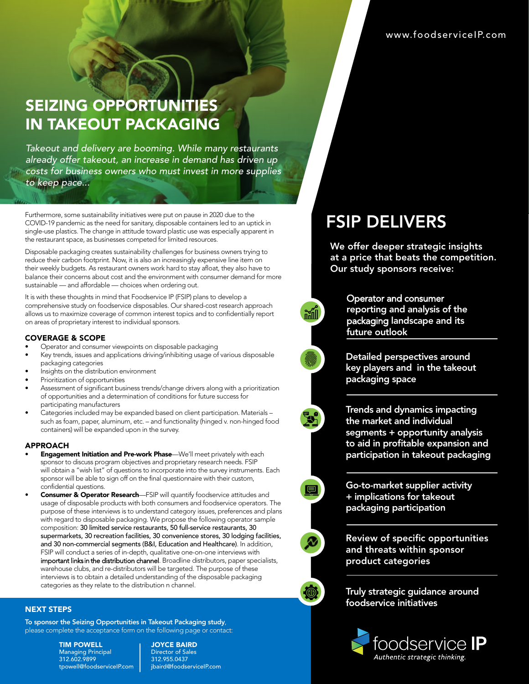## SEIZING OPPORTUNITIES IN TAKEOUT PACKAGING

*Takeout and delivery are booming. While many restaurants already offer takeout, an increase in demand has driven up costs for business owners who must invest in more supplies to keep pace...*

Furthermore, some sustainability initiatives were put on pause in 2020 due to the COVID-19 pandemic as the need for sanitary, disposable containers led to an uptick in single-use plastics. The change in attitude toward plastic use was especially apparent in the restaurant space, as businesses competed for limited resources.

Disposable packaging creates sustainability challenges for business owners trying to reduce their carbon footprint. Now, it is also an increasingly expensive line item on their weekly budgets. As restaurant owners work hard to stay afloat, they also have to balance their concerns about cost and the environment with consumer demand for more sustainable — and affordable — choices when ordering out.

It is with these thoughts in mind that Foodservice IP (FSIP) plans to develop a comprehensive study on foodservice disposables. Our shared-cost research approach allows us to maximize coverage of common interest topics and to confidentially report on areas of proprietary interest to individual sponsors.

#### COVERAGE & SCOPE

- Operator and consumer viewpoints on disposable packaging
- Key trends, issues and applications driving/inhibiting usage of various disposable packaging categories
- Insights on the distribution environment
- Prioritization of opportunities
- Assessment of significant business trends/change drivers along with a prioritization of opportunities and a determination of conditions for future success for participating manufacturers
- Categories included may be expanded based on client participation. Materials such as foam, paper, aluminum, etc. – and functionality (hinged v. non-hinged food containers) will be expanded upon in the survey.

#### APPROACH

- **Engagement Initiation and Pre-work Phase**—We'll meet privately with each sponsor to discuss program objectives and proprietary research needs. FSIP will obtain a "wish list" of questions to incorporate into the survey instruments. Each sponsor will be able to sign off on the final questionnaire with their custom, confidential questions.
- Consumer & Operator Research—FSIP will quantify foodservice attitudes and usage of disposable products with both consumers and foodservice operators. The purpose of these interviews is to understand category issues, preferences and plans with regard to disposable packaging. We propose the following operator sample composition: 30 limited service restaurants, 50 full-service restaurants, 30 supermarkets, 30 recreation facilities, 30 convenience stores, 30 lodging facilities, and 30 non-commercial segments (B&I, Education and Healthcare). In addition, FSIP will conduct a series of in-depth, qualitative one-on-one interviews with important links in the distribution channel. Broadline distributors, paper specialists, warehouse clubs, and re-distributors will be targeted. The purpose of these interviews is to obtain a detailed understanding of the disposable packaging categories as they relate to the distribution n channel.

### NEXT STEPS

To sponsor the Seizing Opportunities in Takeout Packaging study, please complete the acceptance form on the following page or contact:

> TIM POWELL Managing Principal 312.602.9899 tpowell@foodserviceIP.com

JOYCE BAIRD Director of Sales 312.955.0437 jbaird@foodserviceIP.com

# FSIP DELIVERS

We offer deeper strategic insights at a price that beats the competition. Our study sponsors receive:

### Operator and consumer reporting and analysis of the

packaging landscape and its future outlook

Detailed perspectives around key players and in the takeout packaging space

Trends and dynamics impacting the market and individual segments + opportunity analysis to aid in profitable expansion and participation in takeout packaging

Go-to-market supplier activity + implications for takeout packaging participation

Review of specific opportunities and threats within sponsor product categories

Truly strategic guidance around foodservice initiatives